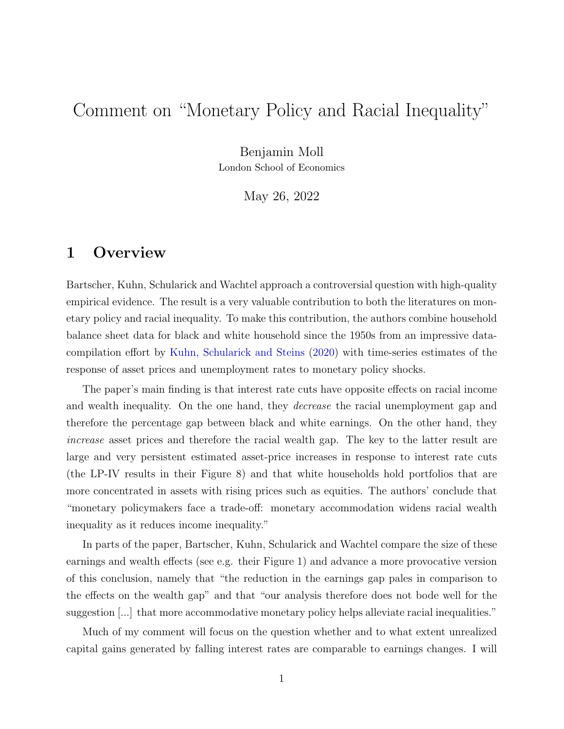# <span id="page-0-0"></span>Comment on "Monetary Policy and Racial Inequality"

Benjamin Moll

London School of Economics

May 26, 2022

### 1 Overview

Bartscher, Kuhn, Schularick and Wachtel approach a controversial question with high-quality empirical evidence. The result is a very valuable contribution to both the literatures on monetary policy and racial inequality. To make this contribution, the authors combine household balance sheet data for black and white household since the 1950s from an impressive datacompilation effort by [Kuhn, Schularick and Steins](#page-7-0) [\(2020\)](#page-7-0) with time-series estimates of the response of asset prices and unemployment rates to monetary policy shocks.

The paper's main finding is that interest rate cuts have opposite effects on racial income and wealth inequality. On the one hand, they decrease the racial unemployment gap and therefore the percentage gap between black and white earnings. On the other hand, they increase asset prices and therefore the racial wealth gap. The key to the latter result are large and very persistent estimated asset-price increases in response to interest rate cuts (the LP-IV results in their Figure 8) and that white households hold portfolios that are more concentrated in assets with rising prices such as equities. The authors' conclude that "monetary policymakers face a trade-off: monetary accommodation widens racial wealth inequality as it reduces income inequality."

In parts of the paper, Bartscher, Kuhn, Schularick and Wachtel compare the size of these earnings and wealth effects (see e.g. their Figure 1) and advance a more provocative version of this conclusion, namely that "the reduction in the earnings gap pales in comparison to the effects on the wealth gap" and that "our analysis therefore does not bode well for the suggestion [...] that more accommodative monetary policy helps alleviate racial inequalities."

Much of my comment will focus on the question whether and to what extent unrealized capital gains generated by falling interest rates are comparable to earnings changes. I will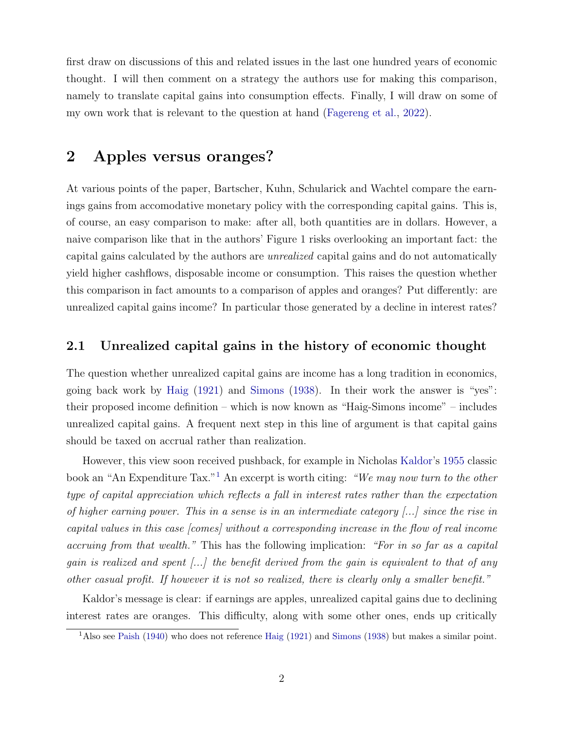first draw on discussions of this and related issues in the last one hundred years of economic thought. I will then comment on a strategy the authors use for making this comparison, namely to translate capital gains into consumption effects. Finally, I will draw on some of my own work that is relevant to the question at hand [\(Fagereng et al.,](#page-6-0) [2022\)](#page-6-0).

### 2 Apples versus oranges?

At various points of the paper, Bartscher, Kuhn, Schularick and Wachtel compare the earnings gains from accomodative monetary policy with the corresponding capital gains. This is, of course, an easy comparison to make: after all, both quantities are in dollars. However, a naive comparison like that in the authors' Figure 1 risks overlooking an important fact: the capital gains calculated by the authors are unrealized capital gains and do not automatically yield higher cashflows, disposable income or consumption. This raises the question whether this comparison in fact amounts to a comparison of apples and oranges? Put differently: are unrealized capital gains income? In particular those generated by a decline in interest rates?

#### 2.1 Unrealized capital gains in the history of economic thought

The question whether unrealized capital gains are income has a long tradition in economics, going back work by [Haig](#page-6-1) [\(1921\)](#page-6-1) and [Simons](#page-7-1) [\(1938\)](#page-7-1). In their work the answer is "yes": their proposed income definition – which is now known as "Haig-Simons income" – includes unrealized capital gains. A frequent next step in this line of argument is that capital gains should be taxed on accrual rather than realization.

However, this view soon received pushback, for example in Nicholas [Kaldor'](#page-6-2)s [1955](#page-6-2) classic book an "An Expenditure Tax."[1](#page-0-0) An excerpt is worth citing: "We may now turn to the other type of capital appreciation which reflects a fall in interest rates rather than the expectation of higher earning power. This in a sense is in an intermediate category  $[\dots]$  since the rise in capital values in this case [comes] without a corresponding increase in the flow of real income accruing from that wealth." This has the following implication: "For in so far as a capital gain is realized and spent  $\left[\ldots\right]$  the benefit derived from the gain is equivalent to that of any other casual profit. If however it is not so realized, there is clearly only a smaller benefit."

Kaldor's message is clear: if earnings are apples, unrealized capital gains due to declining interest rates are oranges. This difficulty, along with some other ones, ends up critically

<sup>1</sup>Also see [Paish](#page-7-2) [\(1940\)](#page-7-2) who does not reference [Haig](#page-6-1) [\(1921\)](#page-6-1) and [Simons](#page-7-1) [\(1938\)](#page-7-1) but makes a similar point.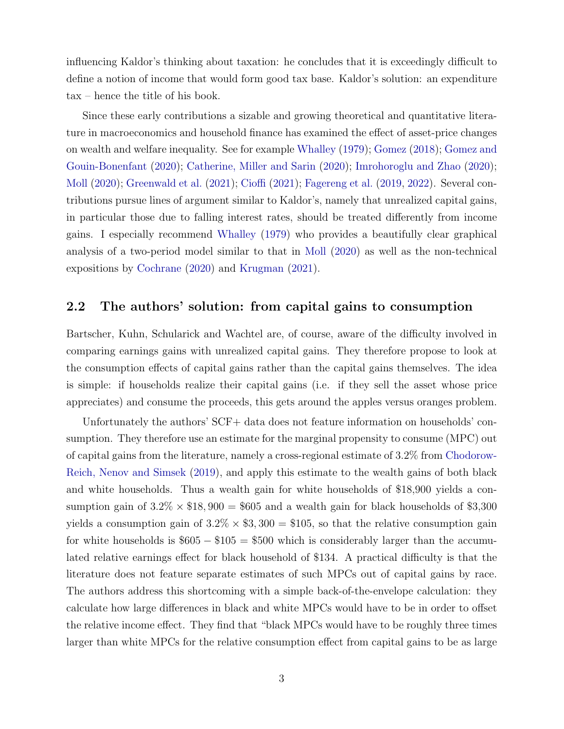influencing Kaldor's thinking about taxation: he concludes that it is exceedingly difficult to define a notion of income that would form good tax base. Kaldor's solution: an expenditure tax – hence the title of his book.

Since these early contributions a sizable and growing theoretical and quantitative literature in macroeconomics and household finance has examined the effect of asset-price changes on wealth and welfare inequality. See for example [Whalley](#page-7-3) [\(1979\)](#page-7-3); [Gomez](#page-6-3) [\(2018\)](#page-6-3); [Gomez and](#page-6-4) [Gouin-Bonenfant](#page-6-4) [\(2020\)](#page-6-4); [Catherine, Miller and Sarin](#page-6-5) [\(2020\)](#page-6-5); [Imrohoroglu and Zhao](#page-6-6) [\(2020\)](#page-6-6); [Moll](#page-7-4) [\(2020\)](#page-7-4); [Greenwald et al.](#page-6-7) [\(2021\)](#page-6-7); [Cioffi](#page-6-8) [\(2021\)](#page-6-8); [Fagereng et al.](#page-6-9) [\(2019,](#page-6-9) [2022\)](#page-6-0). Several contributions pursue lines of argument similar to Kaldor's, namely that unrealized capital gains, in particular those due to falling interest rates, should be treated differently from income gains. I especially recommend [Whalley](#page-7-3) [\(1979\)](#page-7-3) who provides a beautifully clear graphical analysis of a two-period model similar to that in [Moll](#page-7-4) [\(2020\)](#page-7-4) as well as the non-technical expositions by [Cochrane](#page-6-10) [\(2020\)](#page-6-10) and [Krugman](#page-6-11) [\(2021\)](#page-6-11).

#### <span id="page-2-0"></span>2.2 The authors' solution: from capital gains to consumption

Bartscher, Kuhn, Schularick and Wachtel are, of course, aware of the difficulty involved in comparing earnings gains with unrealized capital gains. They therefore propose to look at the consumption effects of capital gains rather than the capital gains themselves. The idea is simple: if households realize their capital gains (i.e. if they sell the asset whose price appreciates) and consume the proceeds, this gets around the apples versus oranges problem.

Unfortunately the authors' SCF+ data does not feature information on households' consumption. They therefore use an estimate for the marginal propensity to consume (MPC) out of capital gains from the literature, namely a cross-regional estimate of 3.2% from [Chodorow-](#page-6-12)[Reich, Nenov and Simsek](#page-6-12) [\(2019\)](#page-6-12), and apply this estimate to the wealth gains of both black and white households. Thus a wealth gain for white households of \$18,900 yields a consumption gain of  $3.2\% \times \$18,900 = \$605$  and a wealth gain for black households of \$3,300 yields a consumption gain of  $3.2\% \times $3,300 = $105$ , so that the relative consumption gain for white households is  $$605 - $105 = $500$  which is considerably larger than the accumulated relative earnings effect for black household of \$134. A practical difficulty is that the literature does not feature separate estimates of such MPCs out of capital gains by race. The authors address this shortcoming with a simple back-of-the-envelope calculation: they calculate how large differences in black and white MPCs would have to be in order to offset the relative income effect. They find that "black MPCs would have to be roughly three times larger than white MPCs for the relative consumption effect from capital gains to be as large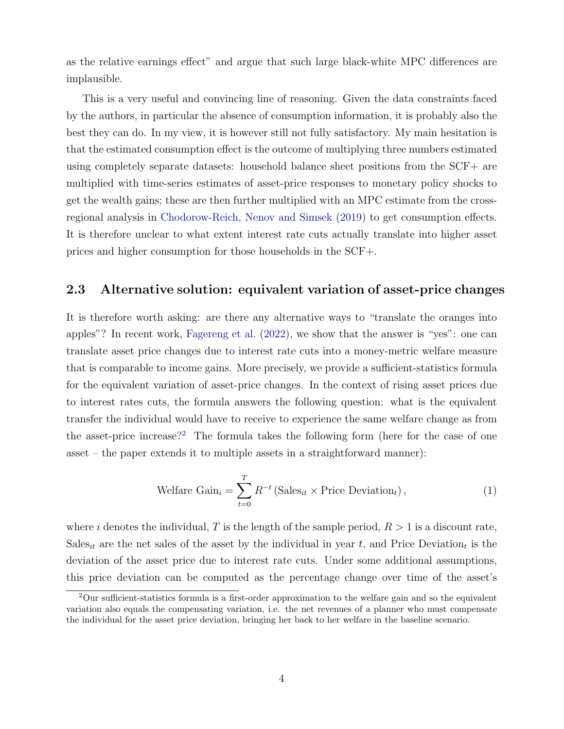as the relative earnings effect" and argue that such large black-white MPC differences are implausible.

This is a very useful and convincing line of reasoning. Given the data constraints faced by the authors, in particular the absence of consumption information, it is probably also the best they can do. In my view, it is however still not fully satisfactory. My main hesitation is that the estimated consumption effect is the outcome of multiplying three numbers estimated using completely separate datasets: household balance sheet positions from the SCF+ are multiplied with time-series estimates of asset-price responses to monetary policy shocks to get the wealth gains; these are then further multiplied with an MPC estimate from the crossregional analysis in [Chodorow-Reich, Nenov and Simsek](#page-6-12) [\(2019\)](#page-6-12) to get consumption effects. It is therefore unclear to what extent interest rate cuts actually translate into higher asset prices and higher consumption for those households in the SCF+.

#### <span id="page-3-1"></span>2.3 Alternative solution: equivalent variation of asset-price changes

It is therefore worth asking: are there any alternative ways to "translate the oranges into apples"? In recent work, [Fagereng et al.](#page-6-0) [\(2022\)](#page-6-0), we show that the answer is "yes": one can translate asset price changes due to interest rate cuts into a money-metric welfare measure that is comparable to income gains. More precisely, we provide a sufficient-statistics formula for the equivalent variation of asset-price changes. In the context of rising asset prices due to interest rates cuts, the formula answers the following question: what is the equivalent transfer the individual would have to receive to experience the same welfare change as from the asset-price increase?<sup>[2](#page-0-0)</sup> The formula takes the following form (here for the case of one asset – the paper extends it to multiple assets in a straightforward manner):

<span id="page-3-0"></span>
$$
\text{Welfare } \text{Gain}_i = \sum_{t=0}^{T} R^{-t} \left( \text{Sales}_{it} \times \text{Price Deviation}_t \right),\tag{1}
$$

where i denotes the individual, T is the length of the sample period,  $R > 1$  is a discount rate, Sales<sub>it</sub> are the net sales of the asset by the individual in year t, and Price Deviation<sub>t</sub> is the deviation of the asset price due to interest rate cuts. Under some additional assumptions, this price deviation can be computed as the percentage change over time of the asset's

 $2$ Our sufficient-statistics formula is a first-order approximation to the welfare gain and so the equivalent variation also equals the compensating variation, i.e. the net revenues of a planner who must compensate the individual for the asset price deviation, bringing her back to her welfare in the baseline scenario.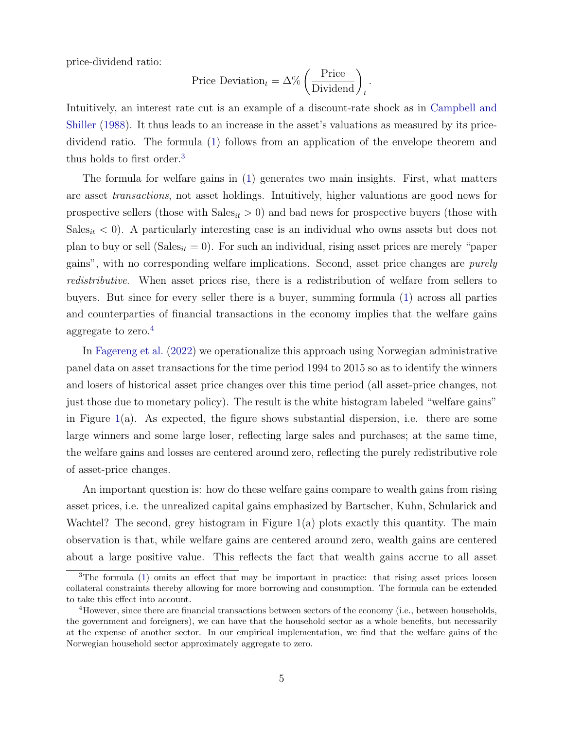price-dividend ratio:

$$
Price Deviationt = \Delta\% \left(\frac{\text{Price}}{\text{Dividend}}\right)t.
$$

Intuitively, an interest rate cut is an example of a discount-rate shock as in [Campbell and](#page-6-13) [Shiller](#page-6-13) [\(1988\)](#page-6-13). It thus leads to an increase in the asset's valuations as measured by its pricedividend ratio. The formula [\(1\)](#page-3-0) follows from an application of the envelope theorem and thus holds to first order.<sup>[3](#page-0-0)</sup>

The formula for welfare gains in [\(1\)](#page-3-0) generates two main insights. First, what matters are asset transactions, not asset holdings. Intuitively, higher valuations are good news for prospective sellers (those with  $Sales_{it} > 0$ ) and bad news for prospective buyers (those with  $Sales_{it} < 0$ . A particularly interesting case is an individual who owns assets but does not plan to buy or sell (Sales<sub>it</sub> = 0). For such an individual, rising asset prices are merely "paper gains", with no corresponding welfare implications. Second, asset price changes are purely redistributive. When asset prices rise, there is a redistribution of welfare from sellers to buyers. But since for every seller there is a buyer, summing formula [\(1\)](#page-3-0) across all parties and counterparties of financial transactions in the economy implies that the welfare gains aggregate to zero.[4](#page-0-0)

In [Fagereng et al.](#page-6-0) [\(2022\)](#page-6-0) we operationalize this approach using Norwegian administrative panel data on asset transactions for the time period 1994 to 2015 so as to identify the winners and losers of historical asset price changes over this time period (all asset-price changes, not just those due to monetary policy). The result is the white histogram labeled "welfare gains" in Figure [1\(](#page-5-0)a). As expected, the figure shows substantial dispersion, i.e. there are some large winners and some large loser, reflecting large sales and purchases; at the same time, the welfare gains and losses are centered around zero, reflecting the purely redistributive role of asset-price changes.

An important question is: how do these welfare gains compare to wealth gains from rising asset prices, i.e. the unrealized capital gains emphasized by Bartscher, Kuhn, Schularick and Wachtel? The second, grey histogram in Figure 1(a) plots exactly this quantity. The main observation is that, while welfare gains are centered around zero, wealth gains are centered about a large positive value. This reflects the fact that wealth gains accrue to all asset

<sup>&</sup>lt;sup>3</sup>The formula [\(1\)](#page-3-0) omits an effect that may be important in practice: that rising asset prices loosen collateral constraints thereby allowing for more borrowing and consumption. The formula can be extended to take this effect into account.

<sup>4</sup>However, since there are financial transactions between sectors of the economy (i.e., between households, the government and foreigners), we can have that the household sector as a whole benefits, but necessarily at the expense of another sector. In our empirical implementation, we find that the welfare gains of the Norwegian household sector approximately aggregate to zero.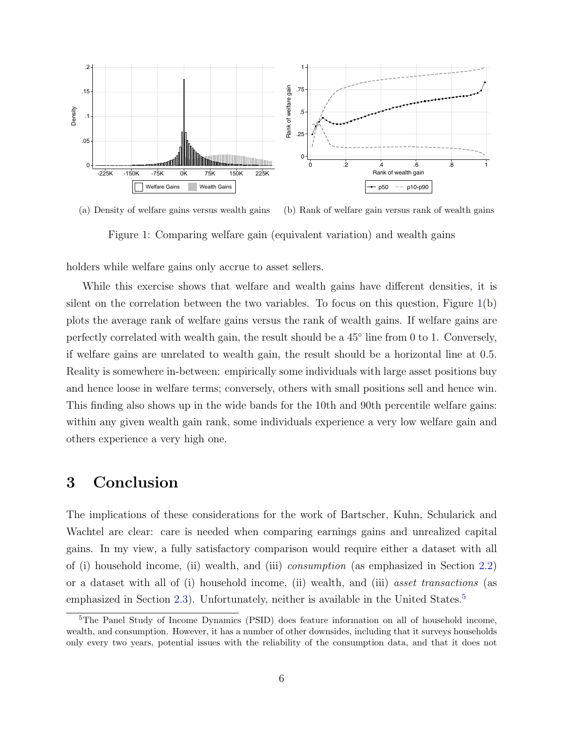

(a) Density of welfare gains versus wealth gains (b) Rank of welfare gain versus rank of wealth gains

<span id="page-5-0"></span>Figure 1: Comparing welfare gain (equivalent variation) and wealth gains

holders while welfare gains only accrue to asset sellers.

While this exercise shows that welfare and wealth gains have different densities, it is silent on the correlation between the two variables. To focus on this question, Figure  $1(b)$  $1(b)$ plots the average rank of welfare gains versus the rank of wealth gains. If welfare gains are perfectly correlated with wealth gain, the result should be a  $45^{\circ}$  line from 0 to 1. Conversely, if welfare gains are unrelated to wealth gain, the result should be a horizontal line at 0.5. Reality is somewhere in-between: empirically some individuals with large asset positions buy and hence loose in welfare terms; conversely, others with small positions sell and hence win. This finding also shows up in the wide bands for the 10th and 90th percentile welfare gains: within any given wealth gain rank, some individuals experience a very low welfare gain and others experience a very high one.

### 3 Conclusion

The implications of these considerations for the work of Bartscher, Kuhn, Schularick and Wachtel are clear: care is needed when comparing earnings gains and unrealized capital gains. In my view, a fully satisfactory comparison would require either a dataset with all of (i) household income, (ii) wealth, and (iii) consumption (as emphasized in Section [2.2\)](#page-2-0) or a dataset with all of (i) household income, (ii) wealth, and (iii) asset transactions (as emphasized in Section [2.3\)](#page-3-1). Unfortunately, neither is available in the United States.<sup>[5](#page-0-0)</sup>

<sup>&</sup>lt;sup>5</sup>The Panel Study of Income Dynamics (PSID) does feature information on all of household income, wealth, and consumption. However, it has a number of other downsides, including that it surveys households only every two years, potential issues with the reliability of the consumption data, and that it does not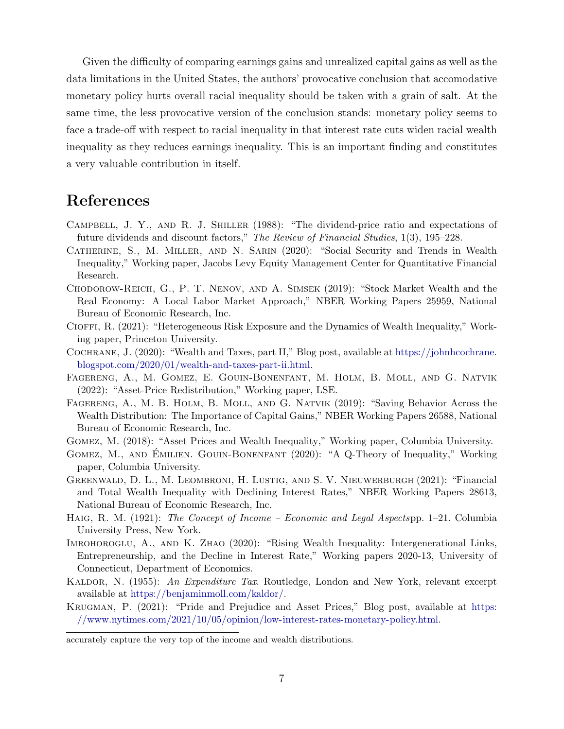Given the difficulty of comparing earnings gains and unrealized capital gains as well as the data limitations in the United States, the authors' provocative conclusion that accomodative monetary policy hurts overall racial inequality should be taken with a grain of salt. At the same time, the less provocative version of the conclusion stands: monetary policy seems to face a trade-off with respect to racial inequality in that interest rate cuts widen racial wealth inequality as they reduces earnings inequality. This is an important finding and constitutes a very valuable contribution in itself.

## References

- <span id="page-6-13"></span>Campbell, J. Y., and R. J. Shiller (1988): "The dividend-price ratio and expectations of future dividends and discount factors," The Review of Financial Studies, 1(3), 195–228.
- <span id="page-6-5"></span>Catherine, S., M. Miller, and N. Sarin (2020): "Social Security and Trends in Wealth Inequality," Working paper, Jacobs Levy Equity Management Center for Quantitative Financial Research.
- <span id="page-6-12"></span>Chodorow-Reich, G., P. T. Nenov, and A. Simsek (2019): "Stock Market Wealth and the Real Economy: A Local Labor Market Approach," NBER Working Papers 25959, National Bureau of Economic Research, Inc.
- <span id="page-6-8"></span>Cioffi, R. (2021): "Heterogeneous Risk Exposure and the Dynamics of Wealth Inequality," Working paper, Princeton University.
- <span id="page-6-10"></span>Cochrane, J. (2020): "Wealth and Taxes, part II," Blog post, available at [https://johnhcochrane.](https://johnhcochrane.blogspot.com/2020/01/wealth-and-taxes-part-ii.html) [blogspot.com/2020/01/wealth-and-taxes-part-ii.html.](https://johnhcochrane.blogspot.com/2020/01/wealth-and-taxes-part-ii.html)
- <span id="page-6-0"></span>Fagereng, A., M. Gomez, E. Gouin-Bonenfant, M. Holm, B. Moll, and G. Natvik (2022): "Asset-Price Redistribution," Working paper, LSE.
- <span id="page-6-9"></span>Fagereng, A., M. B. Holm, B. Moll, and G. Natvik (2019): "Saving Behavior Across the Wealth Distribution: The Importance of Capital Gains," NBER Working Papers 26588, National Bureau of Economic Research, Inc.
- <span id="page-6-3"></span>Gomez, M. (2018): "Asset Prices and Wealth Inequality," Working paper, Columbia University.
- <span id="page-6-4"></span>GOMEZ, M., AND EMILIEN. GOUIN-BONENFANT (2020): "A Q-Theory of Inequality," Working paper, Columbia University.
- <span id="page-6-7"></span>Greenwald, D. L., M. Leombroni, H. Lustig, and S. V. Nieuwerburgh (2021): "Financial and Total Wealth Inequality with Declining Interest Rates," NBER Working Papers 28613, National Bureau of Economic Research, Inc.
- <span id="page-6-1"></span>HAIG, R. M. (1921): The Concept of Income - Economic and Legal Aspectspp. 1-21. Columbia University Press, New York.
- <span id="page-6-6"></span>Imrohoroglu, A., and K. Zhao (2020): "Rising Wealth Inequality: Intergenerational Links, Entrepreneurship, and the Decline in Interest Rate," Working papers 2020-13, University of Connecticut, Department of Economics.
- <span id="page-6-2"></span>KALDOR, N. (1955): An Expenditure Tax. Routledge, London and New York, relevant excerpt available at [https://benjaminmoll.com/kaldor/.](https://benjaminmoll.com/kaldor/)
- <span id="page-6-11"></span>Krugman, P. (2021): "Pride and Prejudice and Asset Prices," Blog post, available at [https:](https://www.nytimes.com/2021/10/05/opinion/low-interest-rates-monetary-policy.html) [//www.nytimes.com/2021/10/05/opinion/low-interest-rates-monetary-policy.html.](https://www.nytimes.com/2021/10/05/opinion/low-interest-rates-monetary-policy.html)

accurately capture the very top of the income and wealth distributions.